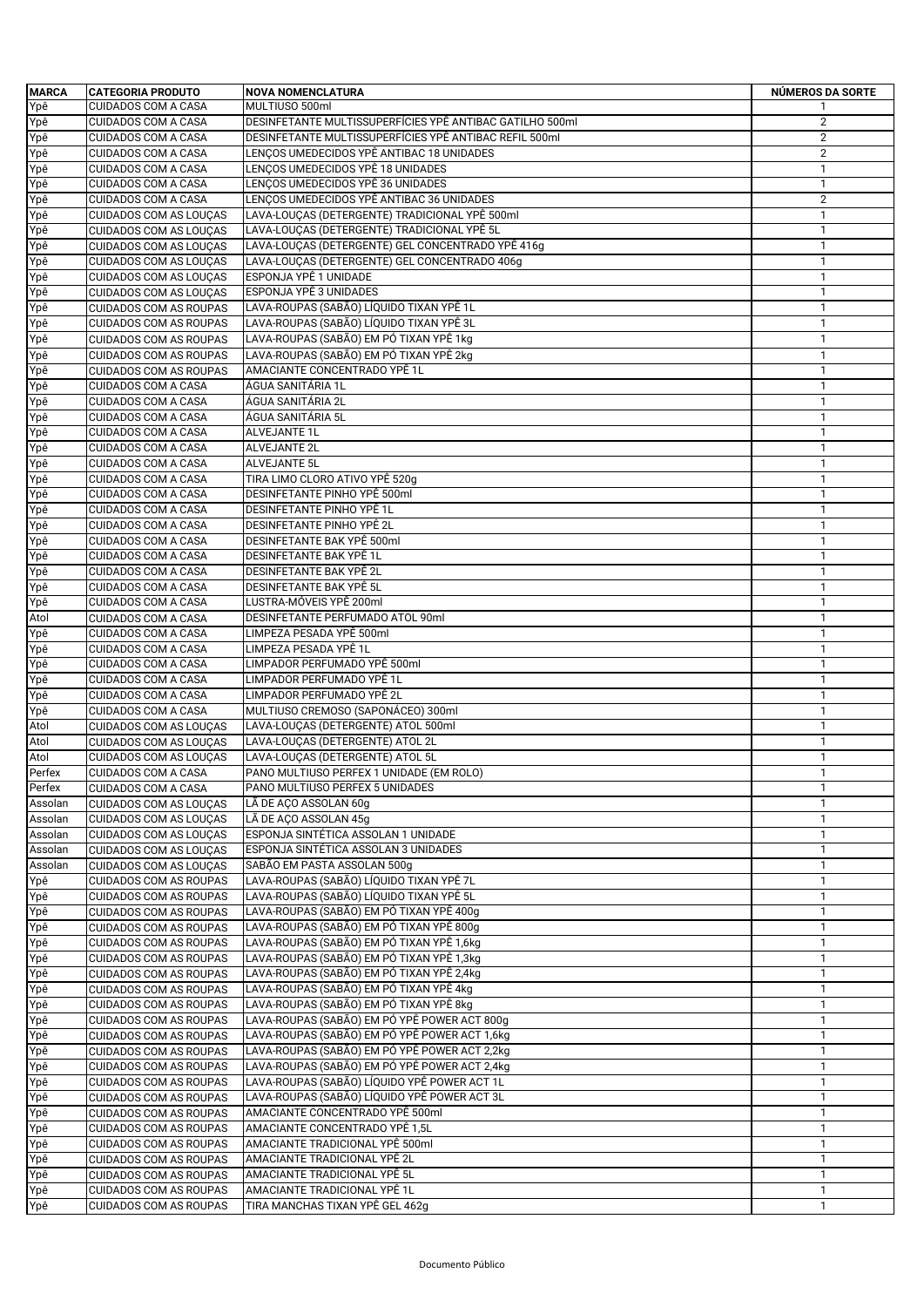| <b>MARCA</b> | <b>CATEGORIA PRODUTO</b>                                       | <b>NOVA NOMENCLATURA</b>                                 | NÚMEROS DA SORTE |
|--------------|----------------------------------------------------------------|----------------------------------------------------------|------------------|
| Ypê          | <b>CUIDADOS COM A CASA</b>                                     | MULTIUSO 500ml                                           |                  |
| Ypê          | <b>CUIDADOS COM A CASA</b>                                     | DESINFETANTE MULTISSUPERFÍCIES YPÊ ANTIBAC GATILHO 500ml | $\overline{2}$   |
| Ypê          | <b>CUIDADOS COM A CASA</b>                                     | DESINFETANTE MULTISSUPERFÍCIES YPÊ ANTIBAC REFIL 500ml   | 2                |
|              |                                                                |                                                          |                  |
| Ypê          | <b>CUIDADOS COM A CASA</b>                                     | LENÇOS UMEDECIDOS YPÊ ANTIBAC 18 UNIDADES                | 2                |
| Ypê          | <b>CUIDADOS COM A CASA</b>                                     | LENÇOS UMEDECIDOS YPÊ 18 UNIDADES                        | $\mathbf{1}$     |
| Ypê          | <b>CUIDADOS COM A CASA</b>                                     | LENÇOS UMEDECIDOS YPÊ 36 UNIDADES                        | $\mathbf{1}$     |
| Ypê          | <b>CUIDADOS COM A CASA</b>                                     | LENÇOS UMEDECIDOS YPÊ ANTIBAC 36 UNIDADES                | 2                |
| Ypê          | CUIDADOS COM AS LOUÇAS                                         | LAVA-LOUÇAS (DETERGENTE) TRADICIONAL YPÊ 500ml           | $\mathbf{1}$     |
| Ypê          | <b>CUIDADOS COM AS LOUÇAS</b>                                  | LAVA-LOUÇAS (DETERGENTE) TRADICIONAL YPÊ 5L              | $\mathbf{1}$     |
| Ypê          | <b>CUIDADOS COM AS LOUÇAS</b>                                  | LAVA-LOUÇAS (DETERGENTE) GEL CONCENTRADO YPÊ 416g        | $\mathbf{1}$     |
| Ypê          | <b>CUIDADOS COM AS LOUÇAS</b>                                  | LAVA-LOUÇAS (DETERGENTE) GEL CONCENTRADO 406g            | $\mathbf{1}$     |
| Ypê          | CUIDADOS COM AS LOUÇAS                                         | ESPONJA YPÊ 1 UNIDADE                                    | $\mathbf{1}$     |
| Ypê          | <b>CUIDADOS COM AS LOUÇAS</b>                                  | ESPONJA YPÊ 3 UNIDADES                                   | $\mathbf{1}$     |
| Ypê          | <b>CUIDADOS COM AS ROUPAS</b>                                  | LAVA-ROUPAS (SABÃO) LÍQUIDO TIXAN YPÊ 1L                 | $\mathbf{1}$     |
| Ypê          | <b>CUIDADOS COM AS ROUPAS</b>                                  | LAVA-ROUPAS (SABÃO) LÍQUIDO TIXAN YPÊ 3L                 | $\mathbf{1}$     |
|              |                                                                | LAVA-ROUPAS (SABÃO) EM PÓ TIXAN YPÊ 1kg                  |                  |
| Ypê          | <b>CUIDADOS COM AS ROUPAS</b>                                  |                                                          | $\mathbf{1}$     |
| Ypê          | <b>CUIDADOS COM AS ROUPAS</b>                                  | LAVA-ROUPAS (SABÃO) EM PÓ TIXAN YPÊ 2kg                  | $\mathbf{1}$     |
| Ypê          | <b>CUIDADOS COM AS ROUPAS</b>                                  | AMACIANTE CONCENTRADO YPÊ 1L                             | $\mathbf{1}$     |
| Ypê          | <b>CUIDADOS COM A CASA</b>                                     | ÁGUA SANITÁRIA 1L                                        | $\mathbf{1}$     |
| Ypê          | <b>CUIDADOS COM A CASA</b>                                     | ÁGUA SANITÁRIA 2L                                        | $\mathbf{1}$     |
| Ypê          | <b>CUIDADOS COM A CASA</b>                                     | ÁGUA SANITÁRIA 5L                                        | 1                |
| Ypê          | <b>CUIDADOS COM A CASA</b>                                     | ALVEJANTE 1L                                             | $\mathbf{1}$     |
| Ypê          | <b>CUIDADOS COM A CASA</b>                                     | <b>ALVEJANTE 2L</b>                                      | $\mathbf{1}$     |
| Ypê          | <b>CUIDADOS COM A CASA</b>                                     | ALVEJANTE 5L                                             | $\mathbf{1}$     |
| Ypê          | <b>CUIDADOS COM A CASA</b>                                     | TIRA LIMO CLORO ATIVO YPÊ 520g                           | $\mathbf{1}$     |
| Ypê          | <b>CUIDADOS COM A CASA</b>                                     | DESINFETANTE PINHO YPÊ 500ml                             | $\mathbf{1}$     |
| Ypê          | <b>CUIDADOS COM A CASA</b>                                     | DESINFETANTE PINHO YPÊ 1L                                | $\mathbf{1}$     |
| Ypê          | <b>CUIDADOS COM A CASA</b>                                     | DESINFETANTE PINHO YPÊ 2L                                | $\mathbf{1}$     |
| Ypê          | <b>CUIDADOS COM A CASA</b>                                     | DESINFETANTE BAK YPÊ 500ml                               | $\mathbf{1}$     |
| Ypê          | <b>CUIDADOS COM A CASA</b>                                     | DESINFETANTE BAK YPÊ 1L                                  | 1                |
| Ypê          | <b>CUIDADOS COM A CASA</b>                                     | DESINFETANTE BAK YPÊ 2L                                  | $\mathbf{1}$     |
| Ypê          | <b>CUIDADOS COM A CASA</b>                                     | DESINFETANTE BAK YPÊ 5L                                  | $\mathbf{1}$     |
| Ypê          | <b>CUIDADOS COM A CASA</b>                                     | LUSTRA-MÓVEIS YPÊ 200ml                                  | $\mathbf{1}$     |
|              |                                                                | DESINFETANTE PERFUMADO ATOL 90ml                         |                  |
| Atol         | <b>CUIDADOS COM A CASA</b><br><b>CUIDADOS COM A CASA</b>       | LIMPEZA PESADA YPÊ 500ml                                 | $\mathbf{1}$     |
| Ypê          |                                                                |                                                          | 1                |
| Ypê          | <b>CUIDADOS COM A CASA</b>                                     | LIMPEZA PESADA YPÊ 1L                                    | $\mathbf{1}$     |
| Ypê          | <b>CUIDADOS COM A CASA</b>                                     | LIMPADOR PERFUMADO YPÊ 500ml                             | $\mathbf{1}$     |
| Ypê          | <b>CUIDADOS COM A CASA</b>                                     | LIMPADOR PERFUMADO YPÊ 1L                                | $\mathbf{1}$     |
| Ypê          | <b>CUIDADOS COM A CASA</b>                                     | LIMPADOR PERFUMADO YPÊ 2L                                | $\mathbf{1}$     |
| Ypê          | <b>CUIDADOS COM A CASA</b>                                     | MULTIUSO CREMOSO (SAPONÁCEO) 300ml                       | $\mathbf{1}$     |
| Atol         | <b>CUIDADOS COM AS LOUÇAS</b>                                  | LAVA-LOUÇAS (DETERGENTE) ATOL 500ml                      | $\mathbf{1}$     |
| Atol         | CUIDADOS COM AS LOUÇAS                                         | LAVA-LOUÇAS (DETERGENTE) ATOL 2L                         | $\mathbf{1}$     |
| Atol         | <b>CUIDADOS COM AS LOUCAS</b>                                  | LAVA-LOUÇAS (DETERGENTE) ATOL 5L                         | $\mathbf{1}$     |
| Perfex       | <b>CUIDADOS COM A CASA</b>                                     | PANO MULTIUSO PERFEX 1 UNIDADE (EM ROLO)                 | $\mathbf{1}$     |
| Perfex       | <b>CUIDADOS COM A CASA</b>                                     | PANO MULTIUSO PERFEX 5 UNIDADES                          | $\mathbf{1}$     |
| Assolan      | <b>CUIDADOS COM AS LOUÇAS</b>                                  | LÃ DE ACO ASSOLAN 60g                                    | $\mathbf{1}$     |
| Assolan      | CUIDADOS COM AS LOUÇAS                                         | LÃ DE AÇO ASSOLAN 45g                                    | $\mathbf{1}$     |
| Assolan      | <b>CUIDADOS COM AS LOUÇAS</b>                                  | ESPONJA SINTÉTICA ASSOLAN 1 UNIDADE                      | $\mathbf{1}$     |
| Assolan      | <b>CUIDADOS COM AS LOUÇAS</b>                                  | ESPONJA SINTÉTICA ASSOLAN 3 UNIDADES                     | $\mathbf{1}$     |
| Assolan      | <b>CUIDADOS COM AS LOUÇAS</b>                                  | SABÃO EM PASTA ASSOLAN 500g                              | 1                |
| Ypê          | <b>CUIDADOS COM AS ROUPAS</b>                                  | LAVA-ROUPAS (SABÃO) LÍQUIDO TIXAN YPÊ 7L                 | $\mathbf{1}$     |
| Ypê          | <b>CUIDADOS COM AS ROUPAS</b>                                  | LAVA-ROUPAS (SABÃO) LÍQUIDO TIXAN YPÊ 5L                 | $\mathbf{1}$     |
| Ypê          | <b>CUIDADOS COM AS ROUPAS</b>                                  | LAVA-ROUPAS (SABÃO) EM PÓ TIXAN YPÊ 400g                 | $\mathbf{1}$     |
| Ypê          | <b>CUIDADOS COM AS ROUPAS</b>                                  | LAVA-ROUPAS (SABÃO) EM PÓ TIXAN YPÊ 800g                 | $\mathbf{1}$     |
| Ypê          | CUIDADOS COM AS ROUPAS                                         | LAVA-ROUPAS (SABÃO) EM PÓ TIXAN YPÊ 1,6kg                | $\mathbf{1}$     |
| Ypê          | <b>CUIDADOS COM AS ROUPAS</b>                                  | LAVA-ROUPAS (SABÃO) EM PÓ TIXAN YPÊ 1,3kg                | 1                |
| Ypê          | <b>CUIDADOS COM AS ROUPAS</b>                                  | LAVA-ROUPAS (SABÃO) EM PÓ TIXAN YPÊ 2,4kg                | $\mathbf{1}$     |
| Ypê          | <b>CUIDADOS COM AS ROUPAS</b>                                  | LAVA-ROUPAS (SABÃO) EM PÓ TIXAN YPÊ 4kg                  | $\mathbf{1}$     |
| Ypê          |                                                                | LAVA-ROUPAS (SABÃO) EM PÓ TIXAN YPÊ 8kg                  | $\mathbf{1}$     |
|              | <b>CUIDADOS COM AS ROUPAS</b><br><b>CUIDADOS COM AS ROUPAS</b> | LAVA-ROUPAS (SABÃO) EM PÓ YPÊ POWER ACT 800g             | $\mathbf{1}$     |
| Ypê          |                                                                | LAVA-ROUPAS (SABÃO) EM PÓ YPÊ POWER ACT 1,6kg            | $\mathbf{1}$     |
| Ypê          | <b>CUIDADOS COM AS ROUPAS</b>                                  |                                                          |                  |
| Ypê          | CUIDADOS COM AS ROUPAS                                         | LAVA-ROUPAS (SABÃO) EM PÓ YPÊ POWER ACT 2,2kg            | $\mathbf{1}$     |
| Ypê          | <b>CUIDADOS COM AS ROUPAS</b>                                  | LAVA-ROUPAS (SABÃO) EM PÓ YPÊ POWER ACT 2,4kg            | $\mathbf{1}$     |
| Ypê          | <b>CUIDADOS COM AS ROUPAS</b>                                  | LAVA-ROUPAS (SABÃO) LÍQUIDO YPÊ POWER ACT 1L             | $\mathbf{1}$     |
| Ypê          | CUIDADOS COM AS ROUPAS                                         | LAVA-ROUPAS (SABÃO) LÍQUIDO YPÊ POWER ACT 3L             | $\mathbf{1}$     |
| Ypê          | <b>CUIDADOS COM AS ROUPAS</b>                                  | AMACIANTE CONCENTRADO YPÊ 500ml                          | $\mathbf{1}$     |
| Ypê          | <b>CUIDADOS COM AS ROUPAS</b>                                  | AMACIANTE CONCENTRADO YPÊ 1,5L                           | $\mathbf{1}$     |
| Ypê          | <b>CUIDADOS COM AS ROUPAS</b>                                  | AMACIANTE TRADICIONAL YPÊ 500ml                          | $\mathbf{1}$     |
| Ypê          | <b>CUIDADOS COM AS ROUPAS</b>                                  | AMACIANTE TRADICIONAL YPÊ 2L                             | $\mathbf{1}$     |
| Ypê          | <b>CUIDADOS COM AS ROUPAS</b>                                  | AMACIANTE TRADICIONAL YPÊ 5L                             | $\mathbf{1}$     |
| Ypê          | <b>CUIDADOS COM AS ROUPAS</b>                                  | AMACIANTE TRADICIONAL YPÊ 1L                             | 1                |
| Ypê          | <b>CUIDADOS COM AS ROUPAS</b>                                  | TIRA MANCHAS TIXAN YPÊ GEL 462g                          | 1                |